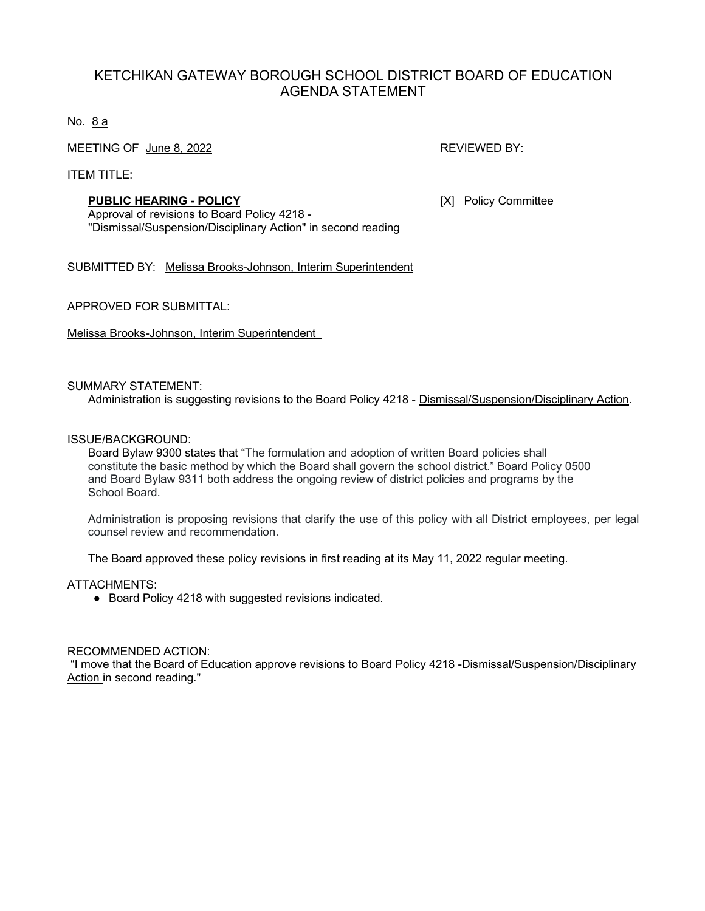# KETCHIKAN GATEWAY BOROUGH SCHOOL DISTRICT BOARD OF EDUCATION AGENDA STATEMENT

No. 8 a

MEETING OF June 8, 2022 **REVIEWED BY:** REVIEWED BY:

ITEM TITLE:

#### **PUBLIC HEARING - POLICY** [X] Policy Committee

Approval of revisions to Board Policy 4218 - "Dismissal/Suspension/Disciplinary Action" in second reading

SUBMITTED BY: Melissa Brooks-Johnson, Interim Superintendent

APPROVED FOR SUBMITTAL:

Melissa Brooks-Johnson, Interim Superintendent

#### SUMMARY STATEMENT:

Administration is suggesting revisions to the Board Policy 4218 - Dismissal/Suspension/Disciplinary Action.

#### ISSUE/BACKGROUND:

Board Bylaw 9300 states that "The formulation and adoption of written Board policies shall constitute the basic method by which the Board shall govern the school district." Board Policy 0500 and Board Bylaw 9311 both address the ongoing review of district policies and programs by the School Board.

Administration is proposing revisions that clarify the use of this policy with all District employees, per legal counsel review and recommendation.

The Board approved these policy revisions in first reading at its May 11, 2022 regular meeting.

ATTACHMENTS:

● Board Policy 4218 with suggested revisions indicated.

#### RECOMMENDED ACTION:

"I move that the Board of Education approve revisions to Board Policy 4218 -Dismissal/Suspension/Disciplinary Action in second reading."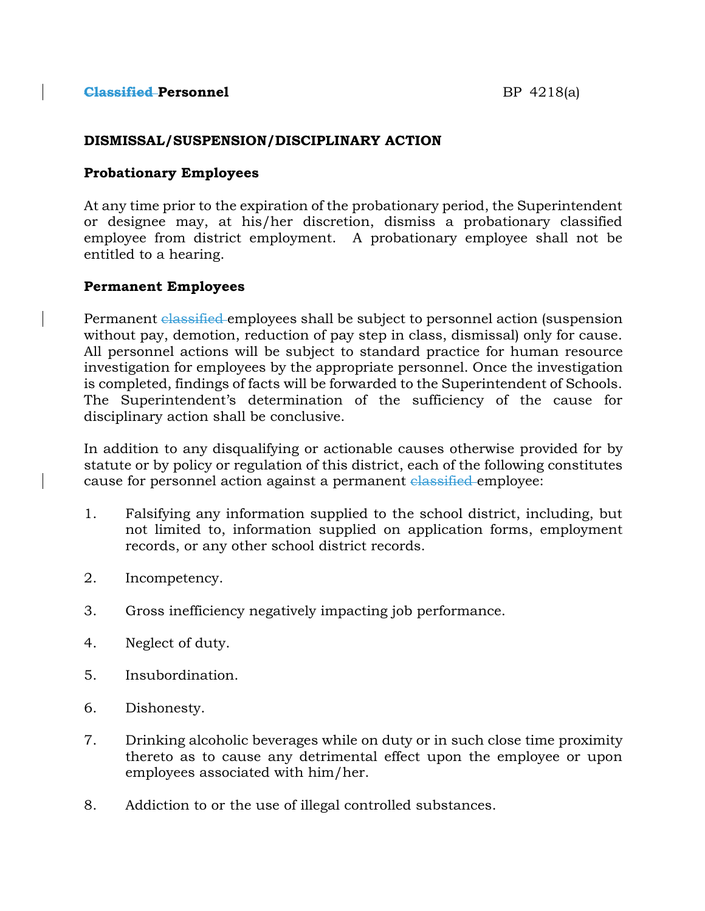### **DISMISSAL/SUSPENSION/DISCIPLINARY ACTION**

### **Probationary Employees**

At any time prior to the expiration of the probationary period, the Superintendent or designee may, at his/her discretion, dismiss a probationary classified employee from district employment. A probationary employee shall not be entitled to a hearing.

### **Permanent Employees**

Permanent classified employees shall be subject to personnel action (suspension without pay, demotion, reduction of pay step in class, dismissal) only for cause. All personnel actions will be subject to standard practice for human resource investigation for employees by the appropriate personnel. Once the investigation is completed, findings of facts will be forwarded to the Superintendent of Schools. The Superintendent's determination of the sufficiency of the cause for disciplinary action shall be conclusive.

In addition to any disqualifying or actionable causes otherwise provided for by statute or by policy or regulation of this district, each of the following constitutes cause for personnel action against a permanent classified employee:

- 1. Falsifying any information supplied to the school district, including, but not limited to, information supplied on application forms, employment records, or any other school district records.
- 2. Incompetency.
- 3. Gross inefficiency negatively impacting job performance.
- 4. Neglect of duty.
- 5. Insubordination.
- 6. Dishonesty.
- 7. Drinking alcoholic beverages while on duty or in such close time proximity thereto as to cause any detrimental effect upon the employee or upon employees associated with him/her.
- 8. Addiction to or the use of illegal controlled substances.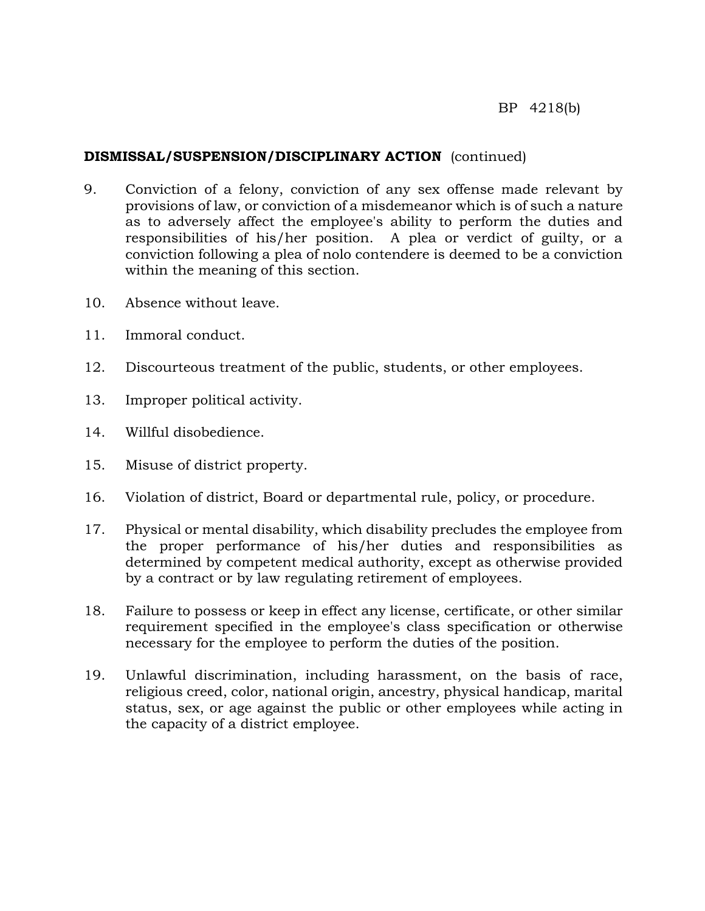# **DISMISSAL/SUSPENSION/DISCIPLINARY ACTION** (continued)

- 9. Conviction of a felony, conviction of any sex offense made relevant by provisions of law, or conviction of a misdemeanor which is of such a nature as to adversely affect the employee's ability to perform the duties and responsibilities of his/her position. A plea or verdict of guilty, or a conviction following a plea of nolo contendere is deemed to be a conviction within the meaning of this section.
- 10. Absence without leave.
- 11. Immoral conduct.
- 12. Discourteous treatment of the public, students, or other employees.
- 13. Improper political activity.
- 14. Willful disobedience.
- 15. Misuse of district property.
- 16. Violation of district, Board or departmental rule, policy, or procedure.
- 17. Physical or mental disability, which disability precludes the employee from the proper performance of his/her duties and responsibilities as determined by competent medical authority, except as otherwise provided by a contract or by law regulating retirement of employees.
- 18. Failure to possess or keep in effect any license, certificate, or other similar requirement specified in the employee's class specification or otherwise necessary for the employee to perform the duties of the position.
- 19. Unlawful discrimination, including harassment, on the basis of race, religious creed, color, national origin, ancestry, physical handicap, marital status, sex, or age against the public or other employees while acting in the capacity of a district employee.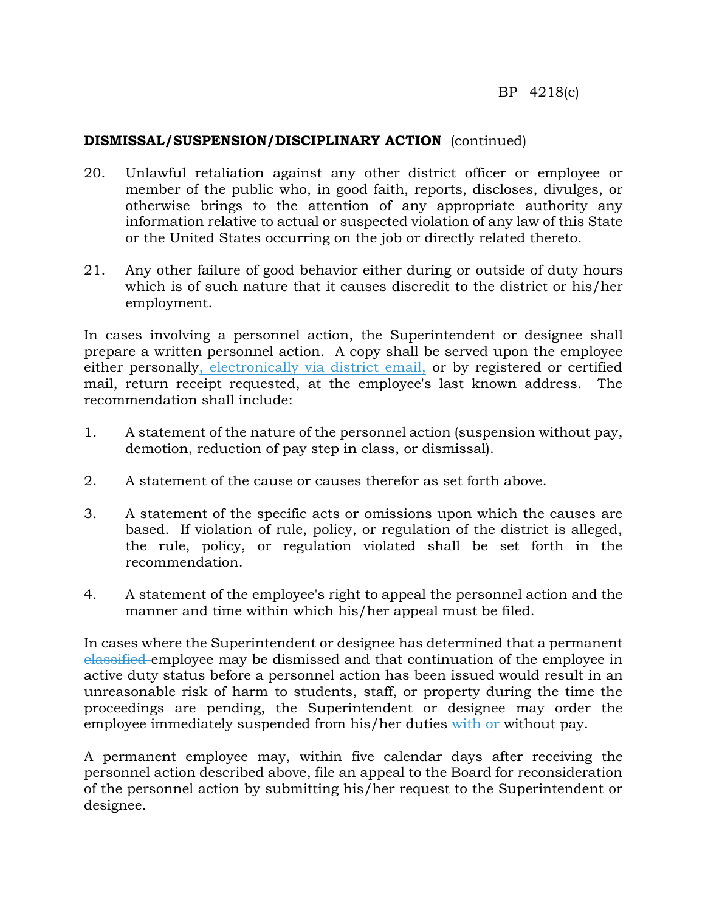### **DISMISSAL/SUSPENSION/DISCIPLINARY ACTION** (continued)

- 20. Unlawful retaliation against any other district officer or employee or member of the public who, in good faith, reports, discloses, divulges, or otherwise brings to the attention of any appropriate authority any information relative to actual or suspected violation of any law of this State or the United States occurring on the job or directly related thereto.
- 21. Any other failure of good behavior either during or outside of duty hours which is of such nature that it causes discredit to the district or his/her employment.

In cases involving a personnel action, the Superintendent or designee shall prepare a written personnel action. A copy shall be served upon the employee either personally, electronically via district email, or by registered or certified mail, return receipt requested, at the employee's last known address. The recommendation shall include:

- 1. A statement of the nature of the personnel action (suspension without pay, demotion, reduction of pay step in class, or dismissal).
- 2. A statement of the cause or causes therefor as set forth above.
- 3. A statement of the specific acts or omissions upon which the causes are based. If violation of rule, policy, or regulation of the district is alleged, the rule, policy, or regulation violated shall be set forth in the recommendation.
- 4. A statement of the employee's right to appeal the personnel action and the manner and time within which his/her appeal must be filed.

In cases where the Superintendent or designee has determined that a permanent classified employee may be dismissed and that continuation of the employee in active duty status before a personnel action has been issued would result in an unreasonable risk of harm to students, staff, or property during the time the proceedings are pending, the Superintendent or designee may order the employee immediately suspended from his/her duties with or without pay.

A permanent employee may, within five calendar days after receiving the personnel action described above, file an appeal to the Board for reconsideration of the personnel action by submitting his/her request to the Superintendent or designee.